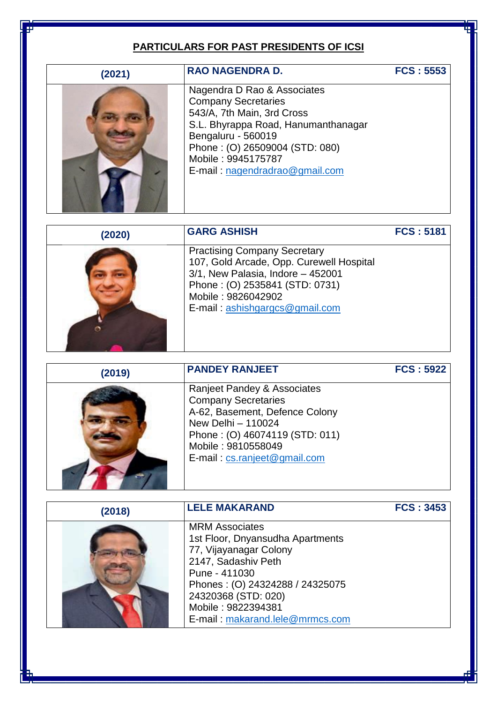#### **PARTICULARS FOR PAST PRESIDENTS OF ICSI**

| (2021) |  |
|--------|--|
|        |  |

Nagendra D Rao & Associates Company Secretaries 543/A, 7th Main, 3rd Cross S.L. Bhyrappa Road, Hanumanthanagar Bengaluru - 560019 Phone : (O) 26509004 (STD: 080) Mobile : 9945175787 E-mail : [nagendradrao@gmail.com](mailto:nagendradrao@gmail.com)

**RAO NAGENDRA D. FCS : 5553**

### **(2020) GARG ASHISH FCS : 5181**



Practising Company Secretary 107, Gold Arcade, Opp. Curewell Hospital 3/1, New Palasia, Indore – 452001 Phone : (O) 2535841 (STD: 0731) Mobile : 9826042902 E-mail : [ashishgargcs@gmail.com](mailto:ashishgargcs@gmail.com)

| (2019) | <b>PANDEY RANJEET</b>                                                                                                                                                                                     | <b>FCS: 5922</b> |
|--------|-----------------------------------------------------------------------------------------------------------------------------------------------------------------------------------------------------------|------------------|
|        | Ranjeet Pandey & Associates<br><b>Company Secretaries</b><br>A-62, Basement, Defence Colony<br>New Delhi - 110024<br>Phone: (O) 46074119 (STD: 011)<br>Mobile: 9810558049<br>E-mail: cs.ranjeet@gmail.com |                  |

| (2018) | <b>LELE MAKARAND</b>                                      | <b>FCS: 3453</b> |
|--------|-----------------------------------------------------------|------------------|
|        | <b>MRM Associates</b><br>1st Floor, Dnyansudha Apartments |                  |
|        | 77, Vijayanagar Colony<br>2147, Sadashiv Peth             |                  |
|        | Pune - 411030<br>Phones: (O) 24324288 / 24325075          |                  |
|        | 24320368 (STD: 020)<br>Mobile: 9822394381                 |                  |
|        | E-mail: makarand.lele@mrmcs.com                           |                  |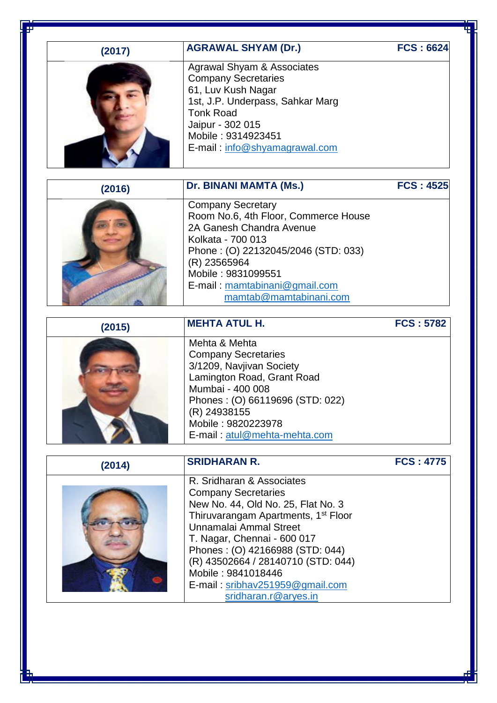# **(2017) AGRAWAL SHYAM (Dr.) FCS : 6624**

| Agra         |
|--------------|
| Com          |
| 61, L        |
| 1st, $\cdot$ |
| Tonk         |
| Jaipt        |
| Mobi         |
| $E-m$        |
|              |
|              |

wal Shyam & Associates pany Secretaries Luv Kush Nagar J.P. Underpass, Sahkar Marg k Road ur - 302 015 ile : 9314923451 ail: [info@shyamagrawal.com](mailto:info@shyamagrawal.com)

**(2016) Dr. BINANI MAMTA (Ms.) FCS : 4525** Company Secretary Room No.6, 4th Floor, Commerce House 2A Ganesh Chandra Avenue Kolkata - 700 013 Phone : (O) 22132045/2046 (STD: 033) (R) 23565964 Mobile : 9831099551 E-mail : [mamtabinani@gmail.com](mailto:mamtabinani@gmail.com) [mamtab@mamtabinani.com](mailto:mamtab@mamtabinani.com)

### **(2015) MEHTA ATUL H. FCS : 5782**

Mehta & Mehta Company Secretaries 3/1209, Navjivan Society Lamington Road, Grant Road Mumbai - 400 008 Phones : (O) 66119696 (STD: 022) (R) 24938155 Mobile : 9820223978 E-mail : [atul@mehta-mehta.com](mailto:atul@mehta-mehta.com)

| (2014) | <b>SRIDHARAN R.</b>                                                                                                                                                                                                                                                                                                                                                 | <b>FCS: 4775</b> |
|--------|---------------------------------------------------------------------------------------------------------------------------------------------------------------------------------------------------------------------------------------------------------------------------------------------------------------------------------------------------------------------|------------------|
|        | R. Sridharan & Associates<br><b>Company Secretaries</b><br>New No. 44, Old No. 25, Flat No. 3<br>Thiruvarangam Apartments, 1 <sup>st</sup> Floor<br>Unnamalai Ammal Street<br>T. Nagar, Chennai - 600 017<br>Phones: (O) 42166988 (STD: 044)<br>(R) 43502664 / 28140710 (STD: 044)<br>Mobile: 9841018446<br>E-mail: sribhav251959@gmail.com<br>sridharan.r@aryes.in |                  |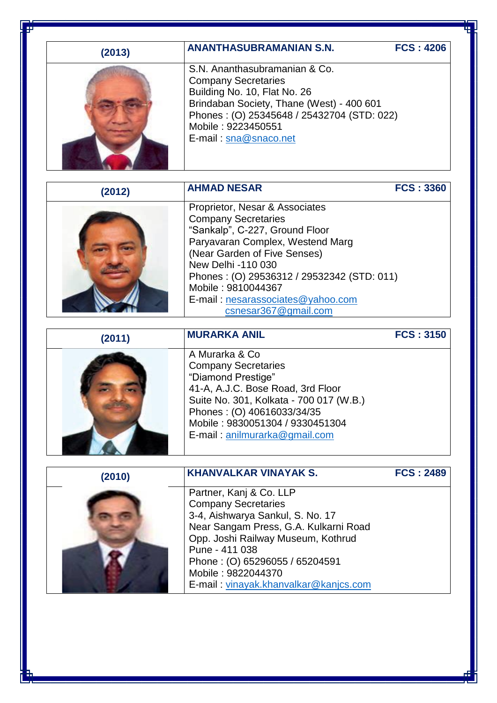| (2013) | <b>ANANTHASUBRAMANIAN S.N.</b>                                                                                                                                                                                                                                                                                            | <b>FCS: 4206</b> |
|--------|---------------------------------------------------------------------------------------------------------------------------------------------------------------------------------------------------------------------------------------------------------------------------------------------------------------------------|------------------|
|        | S.N. Ananthasubramanian & Co.<br><b>Company Secretaries</b><br>Building No. 10, Flat No. 26<br>Brindaban Society, Thane (West) - 400 601<br>Phones: (O) 25345648 / 25432704 (STD: 022)<br>Mobile: 9223450551<br>E-mail: sna@snaco.net                                                                                     |                  |
| (2012) | <b>AHMAD NESAR</b>                                                                                                                                                                                                                                                                                                        | <b>FCS: 3360</b> |
|        | Proprietor, Nesar & Associates<br><b>Company Secretaries</b><br>"Sankalp", C-227, Ground Floor<br>Paryavaran Complex, Westend Marg<br>(Near Garden of Five Senses)<br>New Delhi -110 030<br>Phones: (O) 29536312 / 29532342 (STD: 011)<br>Mobile: 9810044367<br>E-mail: nesarassociates@yahoo.com<br>csnesar367@gmail.com |                  |
| (2011) | <b>MURARKA ANIL</b>                                                                                                                                                                                                                                                                                                       | <b>FCS: 3150</b> |
|        | A Murarka & Co<br><b>Company Secretaries</b><br>"Diamond Prestige"<br>41-A, A.J.C. Bose Road, 3rd Floor<br>Suite No. 301, Kolkata - 700 017 (W.B.)<br>Phones: (O) 40616033/34/35<br>Mobile: 9830051304 / 9330451304<br>E-mail: anilmurarka@gmail.com                                                                      |                  |
| (2010) | <b>KHANVALKAR VINAYAK S.</b>                                                                                                                                                                                                                                                                                              | <b>FCS: 2489</b> |
|        | Partner, Kanj & Co. LLP<br><b>Company Secretaries</b><br>3-4, Aishwarya Sankul, S. No. 17<br>Near Sangam Press, G.A. Kulkarni Road<br>Opp. Joshi Railway Museum, Kothrud<br>Pune - 411 038<br>Phone: (O) 65296055 / 65204591<br>Mobile: 9822044370                                                                        |                  |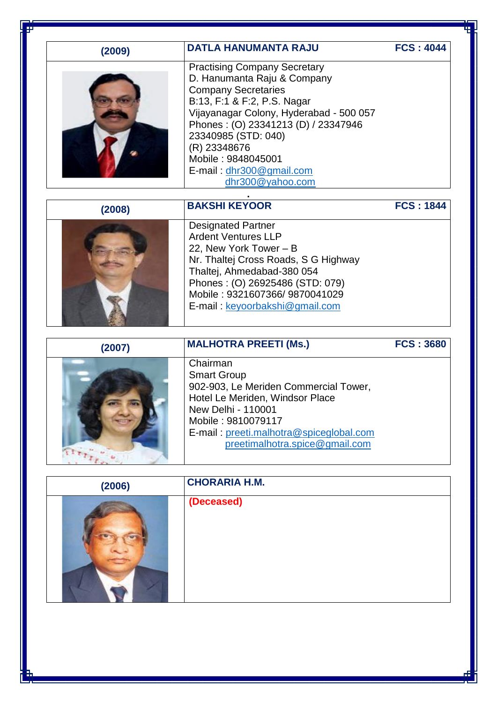| (2009) | <b>DATLA HANUMANTA RAJU</b>                                                                                                                                                                                                                                                                                | <b>FCS: 4044</b> |
|--------|------------------------------------------------------------------------------------------------------------------------------------------------------------------------------------------------------------------------------------------------------------------------------------------------------------|------------------|
|        | <b>Practising Company Secretary</b><br>D. Hanumanta Raju & Company<br><b>Company Secretaries</b><br>B:13, F:1 & F:2, P.S. Nagar<br>Vijayanagar Colony, Hyderabad - 500 057<br>Phones: (O) 23341213 (D) / 23347946<br>23340985 (STD: 040)<br>(R) 23348676<br>Mobile: 9848045001<br>E-mail: dhr300@gmail.com |                  |
|        | dhr300@yahoo.com                                                                                                                                                                                                                                                                                           |                  |
| (2008) | <b>BAKSHI KEYOOR</b>                                                                                                                                                                                                                                                                                       | <b>FCS: 1844</b> |
|        | <b>Designated Partner</b><br><b>Ardent Ventures LLP</b><br>22, New York Tower - B<br>Nr. Thaltej Cross Roads, S G Highway<br>Thaltej, Ahmedabad-380 054<br>Phones: (O) 26925486 (STD: 079)<br>Mobile: 9321607366/9870041029<br>E-mail: keyoorbakshi@gmail.com                                              |                  |
| (2007) | <b>MALHOTRA PREETI (Ms.)</b>                                                                                                                                                                                                                                                                               | <b>FCS: 3680</b> |
|        | Chairman<br><b>Smart Group</b><br>902-903, Le Meriden Commercial Tower,<br>Hotel Le Meriden. Windsor Place<br>New Delhi - 110001<br>Mobile: 9810079117<br>E-mail: preeti.malhotra@spiceglobal.com<br>preetimalhotra.spice@gmail.com                                                                        |                  |
|        | <b>CHORARIA H.M.</b>                                                                                                                                                                                                                                                                                       |                  |

| (2006) | <b>CHORARIA H.M.</b> |
|--------|----------------------|
|        | (Deceased)           |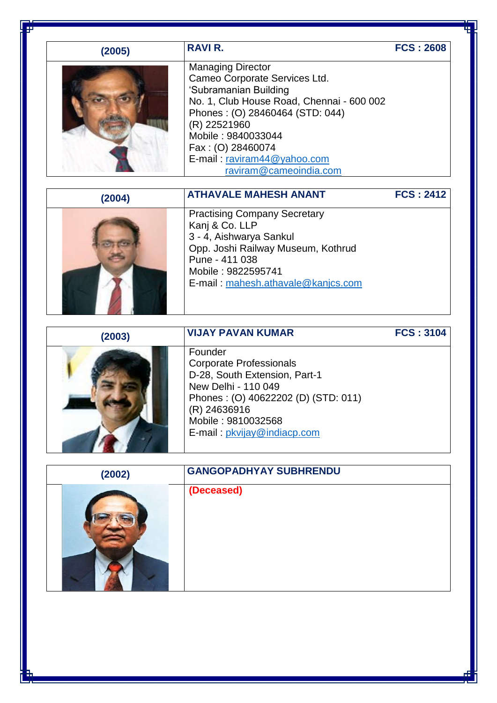| (2005) | <b>RAVIR.</b>                                                                                                                                                                                                                                                                          | <b>FCS: 2608</b> |
|--------|----------------------------------------------------------------------------------------------------------------------------------------------------------------------------------------------------------------------------------------------------------------------------------------|------------------|
|        | <b>Managing Director</b><br>Cameo Corporate Services Ltd.<br>'Subramanian Building<br>No. 1, Club House Road, Chennai - 600 002<br>Phones: (O) 28460464 (STD: 044)<br>(R) 22521960<br>Mobile: 9840033044<br>Fax: (O) 28460074<br>E-mail: raviram44@yahoo.com<br>raviram@cameoindia.com |                  |

| (2004) | <b>ATHAVALE MAHESH ANANT</b>                                                                                                                                                                         | <b>FCS: 2412</b> |
|--------|------------------------------------------------------------------------------------------------------------------------------------------------------------------------------------------------------|------------------|
|        | <b>Practising Company Secretary</b><br>Kanj & Co. LLP<br>3 - 4, Aishwarya Sankul<br>Opp. Joshi Railway Museum, Kothrud<br>Pune - 411 038<br>Mobile: 9822595741<br>E-mail: mahesh.athavale@kanjcs.com |                  |

| (2003) | <b>VIJAY PAVAN KUMAR</b>                                                                                                                                                                                      | <b>FCS: 3104</b> |
|--------|---------------------------------------------------------------------------------------------------------------------------------------------------------------------------------------------------------------|------------------|
|        | Founder<br><b>Corporate Professionals</b><br>D-28, South Extension, Part-1<br>New Delhi - 110 049<br>Phones: (O) 40622202 (D) (STD: 011)<br>(R) 24636916<br>Mobile: 9810032568<br>E-mail: pkvijay@indiacp.com |                  |

| (2002) | <b>GANGOPADHYAY SUBHRENDU</b> |
|--------|-------------------------------|
|        | (Deceased)                    |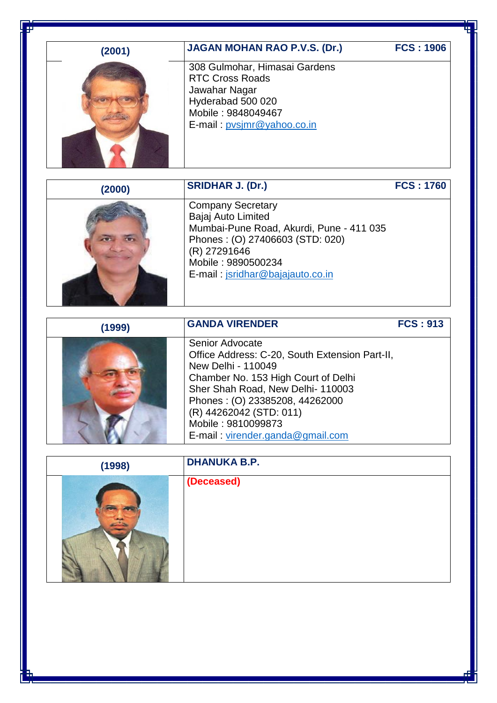| L<br>ı |  |
|--------|--|
|        |  |

## **JAGAN MOHAN RAO P.V.S. (Dr.) FCS : 1906**



308 Gulmohar, Himasai Gardens RTC Cross Roads Jawahar Nagar Hyderabad 500 020 Mobile : 9848049467 E-mail : [pvsjmr@yahoo.co.in](mailto:pvsjmr@yahoo.co.in)

**(2000)**

**SRIDHAR J. (Dr.) FCS : 1760**

| <b>Company Secretary</b>                 |
|------------------------------------------|
| Bajaj Auto Limited                       |
| Mumbai-Pune Road, Akurdi, Pune - 411 035 |
| Phones: (0) 27406603 (STD: 020)          |
| (R) 27291646                             |
| Mobile: 9890500234                       |
| E-mail: jsridhar@bajajauto.co.in         |
|                                          |

| (1999) | <b>GANDA VIRENDER</b>                          | <b>FCS: 913</b> |
|--------|------------------------------------------------|-----------------|
|        | Senior Advocate                                |                 |
|        | Office Address: C-20, South Extension Part-II, |                 |
|        | New Delhi - 110049                             |                 |
|        | Chamber No. 153 High Court of Delhi            |                 |
|        | Sher Shah Road, New Delhi-110003               |                 |
|        | Phones: (O) 23385208, 44262000                 |                 |
|        | (R) 44262042 (STD: 011)                        |                 |
|        | Mobile: 9810099873                             |                 |
|        | E-mail: virender.ganda@gmail.com               |                 |

| (1998) | <b>DHANUKA B.P.</b> |
|--------|---------------------|
|        | (Deceased)          |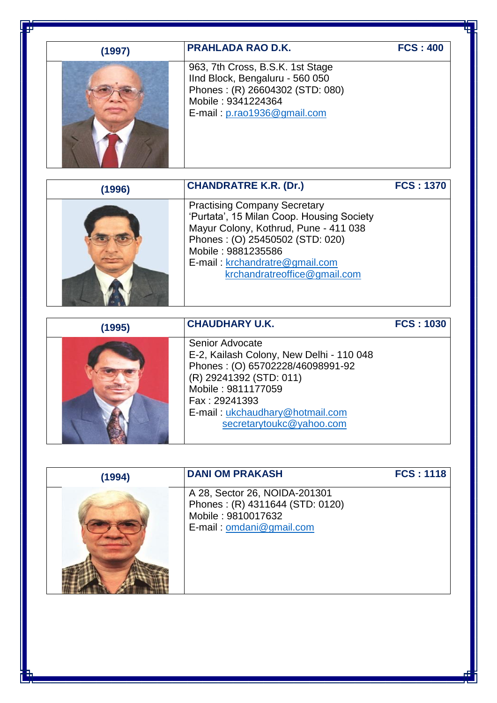| (1997) | <b>PRAHLADA RAO D.K.</b>                                                                                                                                                                                                                             | <b>FCS: 400</b>  |
|--------|------------------------------------------------------------------------------------------------------------------------------------------------------------------------------------------------------------------------------------------------------|------------------|
|        | 963, 7th Cross, B.S.K. 1st Stage<br>IInd Block, Bengaluru - 560 050<br>Phones: (R) 26604302 (STD: 080)<br>Mobile: 9341224364<br>E-mail: p.rao1936@gmail.com                                                                                          |                  |
| (1996) | <b>CHANDRATRE K.R. (Dr.)</b>                                                                                                                                                                                                                         | <b>FCS: 1370</b> |
|        | <b>Practising Company Secretary</b><br>'Purtata', 15 Milan Coop. Housing Society<br>Mayur Colony, Kothrud, Pune - 411 038<br>Phones: (O) 25450502 (STD: 020)<br>Mobile: 9881235586<br>E-mail: krchandratre@gmail.com<br>krchandratreoffice@gmail.com |                  |
| (1995) | <b>CHAUDHARY U.K.</b>                                                                                                                                                                                                                                | <b>FCS: 1030</b> |
|        | Senior Advocate<br>E-2, Kailash Colony, New Delhi - 110 048<br>Phones: (O) 65702228/46098991-92<br>(R) 29241392 (STD: 011)                                                                                                                           |                  |

Mobile : 9811177059 Fax : 29241393 E-mail : [ukchaudhary@hotmail.com](mailto:ukchaudhary@hotmail.com) [secretarytoukc@yahoo.com](mailto:secretarytoukc@yahoo.com)

**DANI OM PRAKASH FCS : 1118**

| (1994) | <b>DANI OM PRAKASH</b>                                                                                             |
|--------|--------------------------------------------------------------------------------------------------------------------|
|        | A 28, Sector 26, NOIDA-201301<br>Phones: (R) 4311644 (STD: 0120)<br>Mobile: 9810017632<br>E-mail: omdani@gmail.com |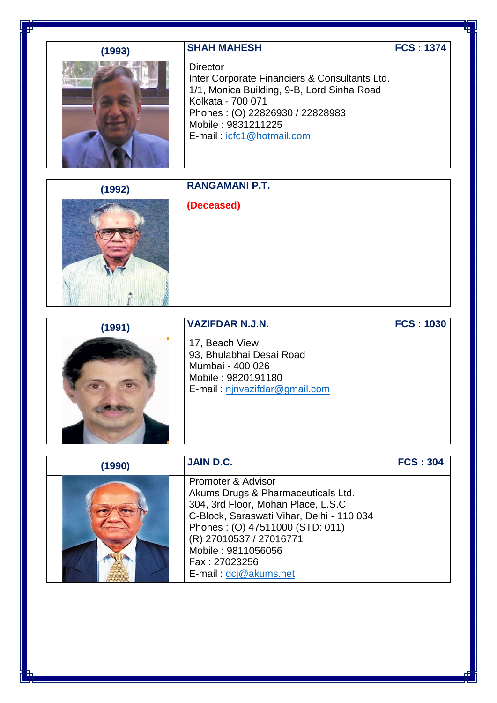| (1993) | <b>SHAH MAHESH</b>                                                                                                                                                                                                        | <b>FCS: 1374</b> |
|--------|---------------------------------------------------------------------------------------------------------------------------------------------------------------------------------------------------------------------------|------------------|
|        | <b>Director</b><br>Inter Corporate Financiers & Consultants Ltd.<br>1/1, Monica Building, 9-B, Lord Sinha Road<br>Kolkata - 700 071<br>Phones: (O) 22826930 / 22828983<br>Mobile: 9831211225<br>E-mail: icfc1@hotmail.com |                  |

| (1992) | <b>RANGAMANI P.T.</b> |
|--------|-----------------------|
|        | (Deceased)            |

| (1991) | <b>VAZIFDAR N.J.N.</b>                                                                                                | <b>FCS: 1030</b> |
|--------|-----------------------------------------------------------------------------------------------------------------------|------------------|
|        | 17, Beach View<br>93, Bhulabhai Desai Road<br>Mumbai - 400 026<br>Mobile: 9820191180<br>E-mail: njnvazifdar@gmail.com |                  |

| (1990) | <b>JAIN D.C.</b>                                                                                                                                                                                                                                                          | <b>FCS: 304</b> |
|--------|---------------------------------------------------------------------------------------------------------------------------------------------------------------------------------------------------------------------------------------------------------------------------|-----------------|
|        | Promoter & Advisor<br>Akums Drugs & Pharmaceuticals Ltd.<br>304, 3rd Floor, Mohan Place, L.S.C<br>C-Block, Saraswati Vihar, Delhi - 110 034<br>Phones: (0) 47511000 (STD: 011)<br>(R) 27010537 / 27016771<br>Mobile: 9811056056<br>Fax: 27023256<br>E-mail: dcj@akums.net |                 |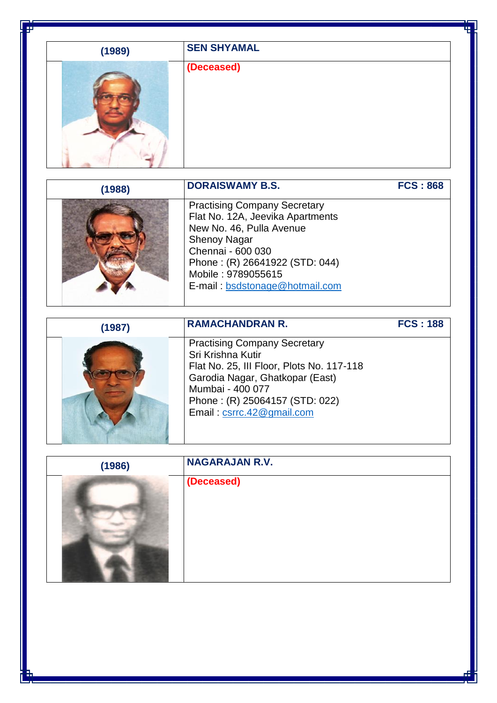| (1989) | <b>SEN SHYAMAL</b> |
|--------|--------------------|
|        | (Deceased)         |

| (1988) | <b>DORAISWAMY B.S.</b>                                                                                                                                                                                                                    | <b>FCS: 868</b> |
|--------|-------------------------------------------------------------------------------------------------------------------------------------------------------------------------------------------------------------------------------------------|-----------------|
|        | <b>Practising Company Secretary</b><br>Flat No. 12A, Jeevika Apartments<br>New No. 46, Pulla Avenue<br><b>Shenoy Nagar</b><br>Chennai - 600 030<br>Phone: (R) 26641922 (STD: 044)<br>Mobile: 9789055615<br>E-mail: bsdstonage@hotmail.com |                 |

| (1987) | <b>RAMACHANDRAN R.</b>                                                                                                                                                                                                      | <b>FCS: 188</b> |
|--------|-----------------------------------------------------------------------------------------------------------------------------------------------------------------------------------------------------------------------------|-----------------|
|        | <b>Practising Company Secretary</b><br>Sri Krishna Kutir<br>Flat No. 25, III Floor, Plots No. 117-118<br>Garodia Nagar, Ghatkopar (East)<br>Mumbai - 400 077<br>Phone: (R) 25064157 (STD: 022)<br>Email: csrrc.42@gmail.com |                 |

| (1986) | <b>NAGARAJAN R.V.</b> |  |
|--------|-----------------------|--|
|        | (Deceased)            |  |
|        |                       |  |
|        |                       |  |
|        |                       |  |
|        |                       |  |
|        |                       |  |
|        |                       |  |
|        |                       |  |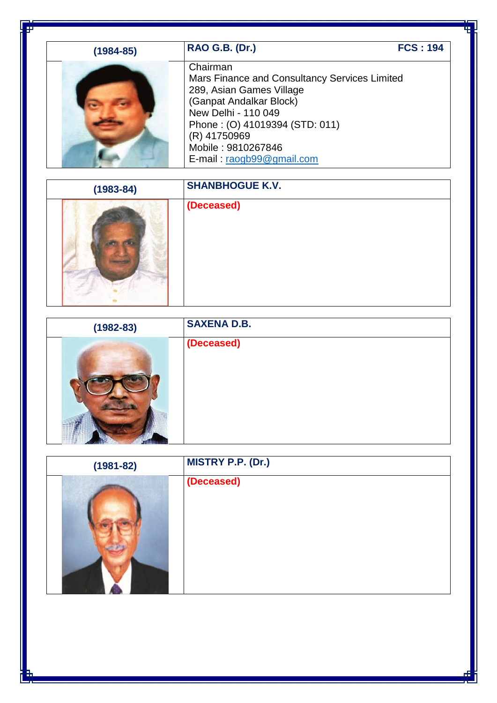| (1984-85) | <b>RAO G.B. (Dr.)</b>                                                                                                                                                                                                                        | <b>FCS: 194</b> |
|-----------|----------------------------------------------------------------------------------------------------------------------------------------------------------------------------------------------------------------------------------------------|-----------------|
|           | Chairman<br>Mars Finance and Consultancy Services Limited<br>289, Asian Games Village<br>(Ganpat Andalkar Block)<br>New Delhi - 110 049<br>Phone: (O) 41019394 (STD: 011)<br>(R) 41750969<br>Mobile: 9810267846<br>E-mail: raogb99@gmail.com |                 |

| $(1983 - 84)$ | <b>SHANBHOGUE K.V.</b> |
|---------------|------------------------|
|               | (Deceased)             |

| $(1982 - 83)$ | <b>SAXENA D.B.</b> |
|---------------|--------------------|
|               | (Deceased)         |

| $(1981 - 82)$ | <b>MISTRY P.P. (Dr.)</b> |
|---------------|--------------------------|
|               | (Deceased)               |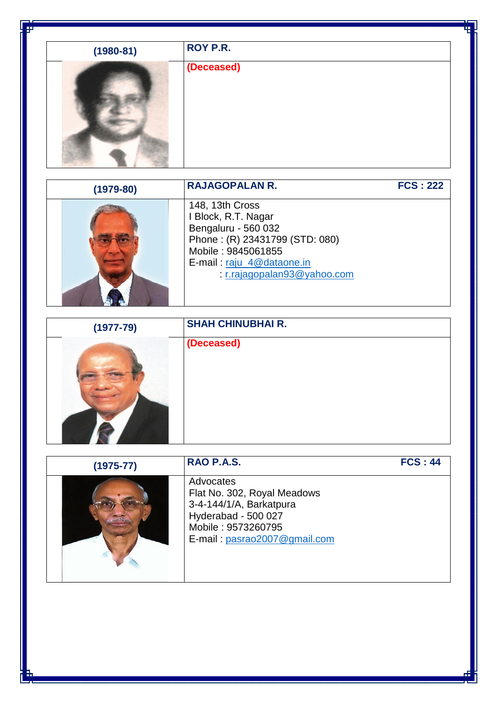| $(1980 - 81)$ | ROY P.R.   |
|---------------|------------|
|               | (Deceased) |

| $(1979 - 80)$ | <b>RAJAGOPALAN R.</b>                                                                                                                                                         | <b>FCS: 222</b> |
|---------------|-------------------------------------------------------------------------------------------------------------------------------------------------------------------------------|-----------------|
|               | 148, 13th Cross<br>Block, R.T. Nagar<br>Bengaluru - 560 032<br>Phone: (R) 23431799 (STD: 080)<br>Mobile: 9845061855<br>E-mail: raju_4@dataone.in<br>r.rajagopalan93@yahoo.com |                 |

**ALC: YES** 

- 12

| $(1977 - 79)$ | <b>SHAH CHINUBHAI R.</b> |
|---------------|--------------------------|
|               | (Deceased)               |

| $(1975 - 77)$ | RAO P.A.S.                                                                                                                                       | <b>FCS: 44</b> |
|---------------|--------------------------------------------------------------------------------------------------------------------------------------------------|----------------|
|               | Advocates<br>Flat No. 302, Royal Meadows<br>3-4-144/1/A, Barkatpura<br>Hyderabad - 500 027<br>Mobile: 9573260795<br>E-mail: pasrao2007@gmail.com |                |